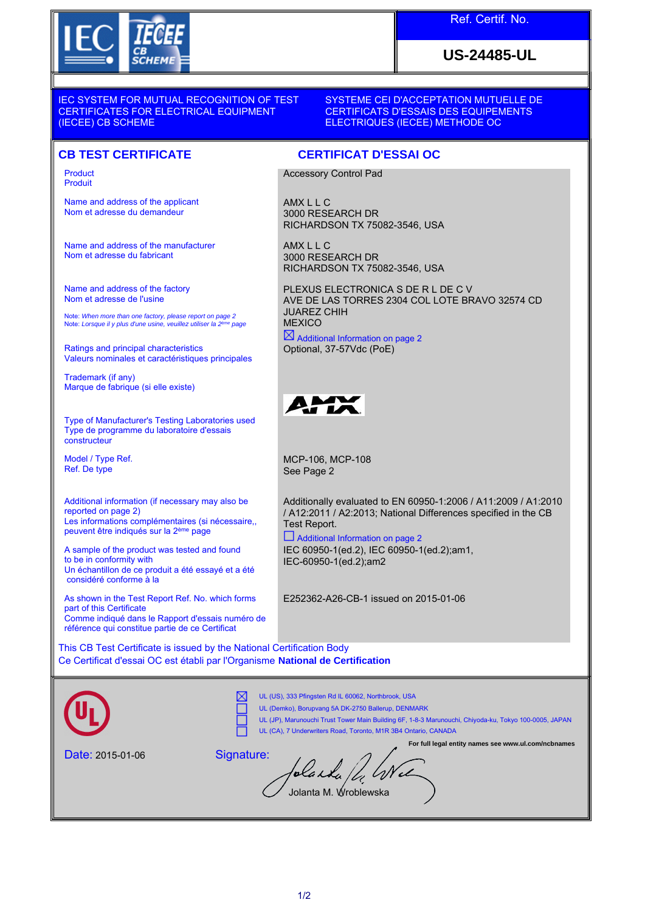

## Ref. Certif. No.

## **US-24485-UL**

IEC SYSTEM FOR MUTUAL RECOGNITION OF TEST CERTIFICATES FOR ELECTRICAL EQUIPMENT (IECEE) CB SCHEME

SYSTEME CEI D'ACCEPTATION MUTUELLE DE CERTIFICATS D'ESSAIS DES EQUIPEMENTS ELECTRIQUES (IECEE) METHODE OC

## **CB TEST CERTIFICATE CERTIFICAT D'ESSAI OC**

Product Produit

Name and address of the applicant Nom et adresse du demandeur

Name and address of the manufacturer Nom et adresse du fabricant

Name and address of the factory Nom et adresse de l'usine

Note: *When more than one factory, please report on page 2*<br>Note: *Lorsque il y plus d'une usine, veuillez utiliser la 2<sup>ème</sup> page* 

Ratings and principal characteristics Valeurs nominales et caractéristiques principales

Trademark (if any) Marque de fabrique (si elle existe)

Type of Manufacturer's Testing Laboratories used Type de programme du laboratoire d'essais constructeur

Model / Type Ref. Ref. De type

Additional information (if necessary may also be reported on page 2) Les informations complémentaires (si nécessaire,, peuvent être indiqués sur la 2ème page

A sample of the product was tested and found to be in conformity with Un échantillon de ce produit a été essayé et a été considéré conforme à la

As shown in the Test Report Ref. No. which forms part of this Certificate Comme indiqué dans le Rapport d'essais numéro de référence qui constitue partie de ce Certificat

This CB Test Certificate is issued by the National Certification Body Ce Certificat d'essai OC est établi par l'Organisme **National de Certification**

UL (US), 333 Pfingsten Rd IL 60062, Northbrook, USA ⋉ UL (Demko), Borupvang 5A DK-2750 Ballerup, DENMARK UL (JP), Marunouchi Trust Tower Main Building 6F, 1-8-3 Marunouchi, Chiyoda-ku, Tokyo 100-0005, JAPAN UL (CA), 7 Underwriters Road, Toronto, M1R 3B4 Ontario, CANADA **For full legal entity names see www.ul.com/ncbnames** Date: 2015-01-06 Signature: Jolanda / 4 Wel Jolanta M. Wroblewska

Accessory Control Pad

3000 RESEARCH DR

3000 RESEARCH DR

RICHARDSON TX 75082-3546, USA

RICHARDSON TX 75082-3546, USA

 $\boxtimes$  Additional Information on page 2

Optional, 37-57Vdc (PoE)

PLEXUS ELECTRONICA S DE R L DE C V

AVE DE LAS TORRES 2304 COL LOTE BRAVO 32574 CD

AMX L L C

AMX L L C

JUAREZ CHIH **MEXICO** 

MCP-106, MCP-108 See Page 2

Additionally evaluated to EN 60950-1:2006 / A11:2009 / A1:2010 / A12:2011 / A2:2013; National Differences specified in the CB Test Report.

 Additional Information on page 2 IEC 60950-1(ed.2), IEC 60950-1(ed.2);am1, IEC-60950-1(ed.2);am2

E252362-A26-CB-1 issued on 2015-01-06